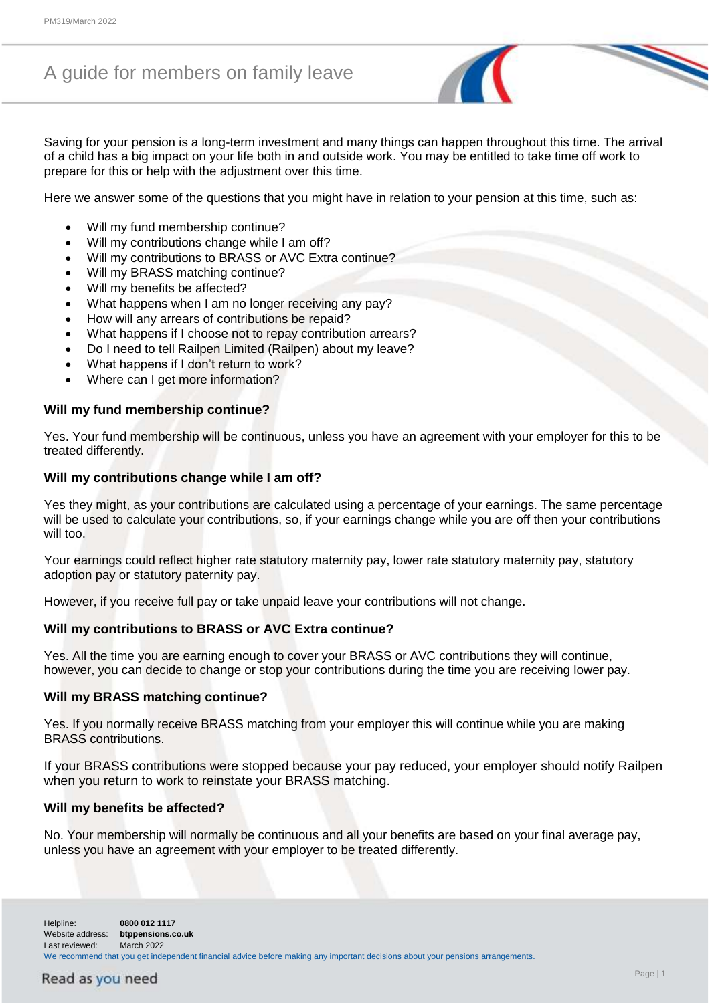# A guide for members on family leave



Saving for your pension is a long-term investment and many things can happen throughout this time. The arrival of a child has a big impact on your life both in and outside work. You may be entitled to take time off work to prepare for this or help with the adjustment over this time.

Here we answer some of the questions that you might have in relation to your pension at this time, such as:

- Will my fund membership continue?
- Will my contributions change while I am off?
- Will my contributions to BRASS or AVC Extra continue?
- Will my BRASS matching continue?
- Will my benefits be affected?
- What happens when I am no longer receiving any pay?
- How will any arrears of contributions be repaid?
- What happens if I choose not to repay contribution arrears?
- Do I need to tell Railpen Limited (Railpen) about my leave?
- What happens if I don't return to work?
- Where can I get more information?

#### **Will my fund membership continue?**

Yes. Your fund membership will be continuous, unless you have an agreement with your employer for this to be treated differently.

#### **Will my contributions change while I am off?**

Yes they might, as your contributions are calculated using a percentage of your earnings. The same percentage will be used to calculate your contributions, so, if your earnings change while you are off then your contributions will too.

Your earnings could reflect higher rate statutory maternity pay, lower rate statutory maternity pay, statutory adoption pay or statutory paternity pay.

However, if you receive full pay or take unpaid leave your contributions will not change.

#### **Will my contributions to BRASS or AVC Extra continue?**

Yes. All the time you are earning enough to cover your BRASS or AVC contributions they will continue, however, you can decide to change or stop your contributions during the time you are receiving lower pay.

#### **Will my BRASS matching continue?**

Yes. If you normally receive BRASS matching from your employer this will continue while you are making BRASS contributions.

If your BRASS contributions were stopped because your pay reduced, your employer should notify Railpen when you return to work to reinstate your BRASS matching.

#### **Will my benefits be affected?**

No. Your membership will normally be continuous and all your benefits are based on your final average pay, unless you have an agreement with your employer to be treated differently.

# Read as you need